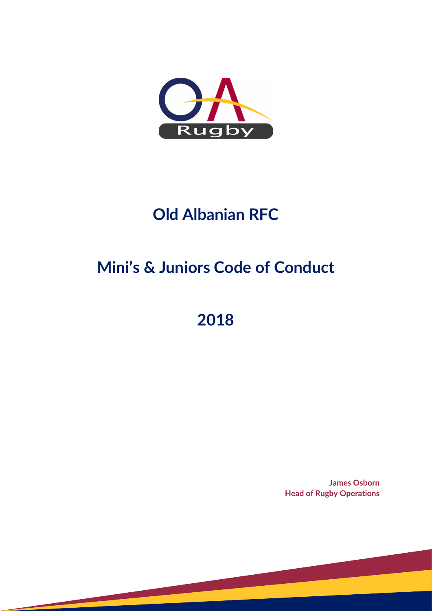

# **Old Albanian RFC**

# **Mini's & Juniors Code of Conduct**

**2018**

**James Osborn Head of Rugby Operations**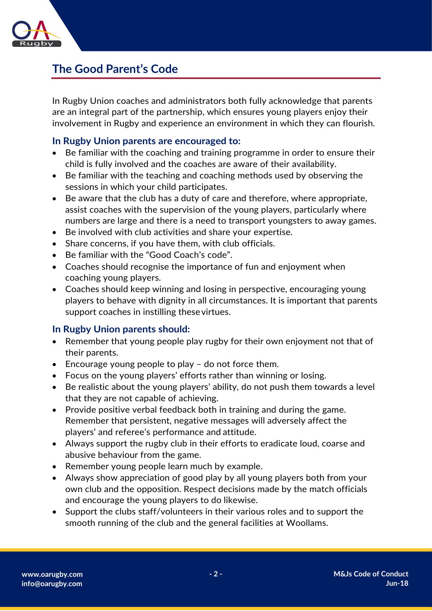

## **The Good Parent's Code**

In Rugby Union coaches and administrators both fully acknowledge that parents are an integral part of the partnership, which ensures young players enjoy their involvement in Rugby and experience an environment in which they can flourish.

### **In Rugby Union parents are encouraged to:**

- Be familiar with the coaching and training programme in order to ensure their child is fully involved and the coaches are aware of their availability.
- Be familiar with the teaching and coaching methods used by observing the sessions in which your child participates.
- Be aware that the club has a duty of care and therefore, where appropriate, assist coaches with the supervision of the young players, particularly where numbers are large and there is a need to transport youngsters to away games.
- Be involved with club activities and share your expertise.
- Share concerns, if you have them, with club officials.
- Be familiar with the "Good Coach's code".
- Coaches should recognise the importance of fun and enjoyment when coaching young players.
- Coaches should keep winning and losing in perspective, encouraging young players to behave with dignity in all circumstances. It is important that parents support coaches in instilling these virtues.

### **In Rugby Union parents should:**

- Remember that young people play rugby for their own enjoyment not that of their parents.
- Encourage young people to play do not force them.
- Focus on the young players' efforts rather than winning or losing.
- Be realistic about the young players' ability, do not push them towards a level that they are not capable of achieving.
- Provide positive verbal feedback both in training and during the game. Remember that persistent, negative messages will adversely affect the players' and referee's performance and attitude.
- Always support the rugby club in their efforts to eradicate loud, coarse and abusive behaviour from the game.
- Remember young people learn much by example.
- Always show appreciation of good play by all young players both from your own club and the opposition. Respect decisions made by the match officials and encourage the young players to do likewise.
- Support the clubs staff/volunteers in their various roles and to support the smooth running of the club and the general facilities at Woollams.